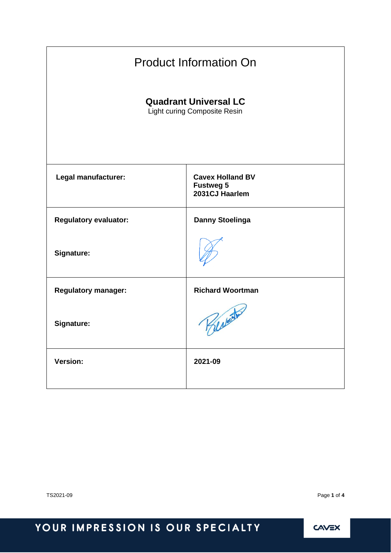| <b>Product Information On</b>                                |                                                               |  |
|--------------------------------------------------------------|---------------------------------------------------------------|--|
| <b>Quadrant Universal LC</b><br>Light curing Composite Resin |                                                               |  |
| Legal manufacturer:                                          | <b>Cavex Holland BV</b><br><b>Fustweg 5</b><br>2031CJ Haarlem |  |
| <b>Regulatory evaluator:</b>                                 | <b>Danny Stoelinga</b>                                        |  |
| Signature:                                                   |                                                               |  |
| <b>Regulatory manager:</b>                                   | <b>Richard Woortman</b>                                       |  |
| Signature:                                                   | Reverts                                                       |  |
| <b>Version:</b>                                              | 2021-09                                                       |  |

TS2021-09 Page **1** of **4**

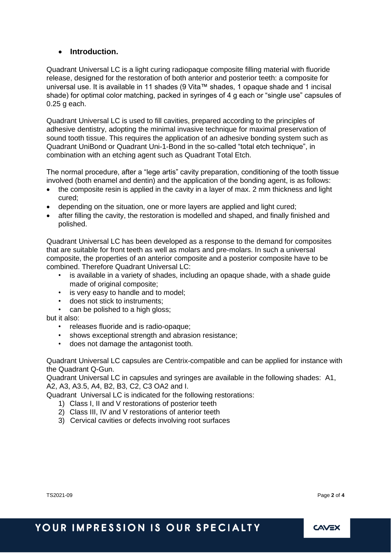### • **Introduction.**

Quadrant Universal LC is a light curing radiopaque composite filling material with fluoride release, designed for the restoration of both anterior and posterior teeth: a composite for universal use. It is available in 11 shades (9 Vita™ shades, 1 opaque shade and 1 incisal shade) for optimal color matching, packed in syringes of 4 g each or "single use" capsules of 0.25 g each.

Quadrant Universal LC is used to fill cavities, prepared according to the principles of adhesive dentistry, adopting the minimal invasive technique for maximal preservation of sound tooth tissue. This requires the application of an adhesive bonding system such as Quadrant UniBond or Quadrant Uni-1-Bond in the so-called "total etch technique", in combination with an etching agent such as Quadrant Total Etch.

The normal procedure, after a "lege artis" cavity preparation, conditioning of the tooth tissue involved (both enamel and dentin) and the application of the bonding agent, is as follows:

- the composite resin is applied in the cavity in a layer of max. 2 mm thickness and light cured;
- depending on the situation, one or more layers are applied and light cured;
- after filling the cavity, the restoration is modelled and shaped, and finally finished and polished.

Quadrant Universal LC has been developed as a response to the demand for composites that are suitable for front teeth as well as molars and pre-molars. In such a universal composite, the properties of an anterior composite and a posterior composite have to be combined. Therefore Quadrant Universal LC:

- is available in a variety of shades, including an opaque shade, with a shade guide made of original composite;
- is very easy to handle and to model;
- does not stick to instruments;
- can be polished to a high gloss;

but it also:

- releases fluoride and is radio-opaque;
- shows exceptional strength and abrasion resistance:
- does not damage the antagonist tooth.

Quadrant Universal LC capsules are Centrix-compatible and can be applied for instance with the Quadrant Q-Gun.

Quadrant Universal LC in capsules and syringes are available in the following shades: A1, A2, A3, A3.5, A4, B2, B3, C2, C3 OA2 and I.

QuadrantUniversal LC is indicated for the following restorations:

- 1) Class I, II and V restorations of posterior teeth
- 2) Class III, IV and V restorations of anterior teeth
- 3) Cervical cavities or defects involving root surfaces

TS2021-09 Page **2** of **4**

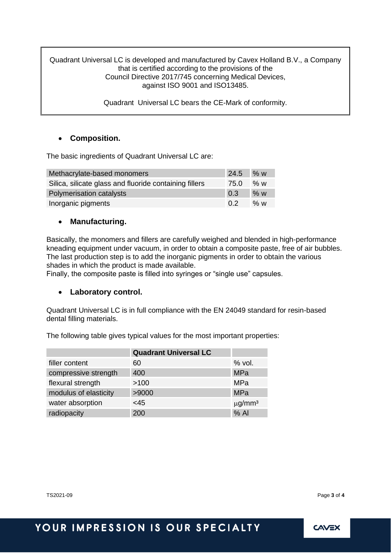Quadrant Universal LC is developed and manufactured by Cavex Holland B.V., a Company that is certified according to the provisions of the Council Directive 2017/745 concerning Medical Devices, against ISO 9001 and ISO13485.

QuadrantUniversal LC bears the CE-Mark of conformity.

### • **Composition.**

The basic ingredients of Quadrant Universal LC are:

| Methacrylate-based monomers                            | $24.5$ % w |     |
|--------------------------------------------------------|------------|-----|
| Silica, silicate glass and fluoride containing fillers | 75.0       | % w |
| Polymerisation catalysts                               | 0.3        | % w |
| Inorganic pigments                                     | 0.2        | % w |

### • **Manufacturing.**

Basically, the monomers and fillers are carefully weighed and blended in high-performance kneading equipment under vacuum, in order to obtain a composite paste, free of air bubbles. The last production step is to add the inorganic pigments in order to obtain the various shades in which the product is made available.

Finally, the composite paste is filled into syringes or "single use" capsules.

### • **Laboratory control.**

Quadrant Universal LC is in full compliance with the EN 24049 standard for resin-based dental filling materials.

The following table gives typical values for the most important properties:

|                       | <b>Quadrant Universal LC</b> |                         |
|-----------------------|------------------------------|-------------------------|
| filler content        | 60                           | $%$ vol.                |
| compressive strength  | 400                          | <b>MPa</b>              |
| flexural strength     | >100                         | <b>MPa</b>              |
| modulus of elasticity | >9000                        | <b>MPa</b>              |
| water absorption      | <45                          | $\mu$ g/mm <sup>3</sup> |
| radiopacity           | 200                          | $%$ Al                  |

TS2021-09 Page **3** of **4**